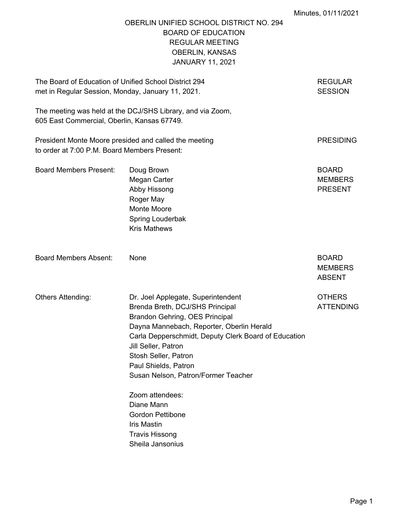# OBERLIN UNIFIED SCHOOL DISTRICT NO. 294 BOARD OF EDUCATION REGULAR MEETING OBERLIN, KANSAS JANUARY 11, 2021

| The Board of Education of Unified School District 294<br>met in Regular Session, Monday, January 11, 2021. |                                                                                                                                                                                                                                                                                                                                                                                                                                                           |                                                  |
|------------------------------------------------------------------------------------------------------------|-----------------------------------------------------------------------------------------------------------------------------------------------------------------------------------------------------------------------------------------------------------------------------------------------------------------------------------------------------------------------------------------------------------------------------------------------------------|--------------------------------------------------|
| 605 East Commercial, Oberlin, Kansas 67749.                                                                | The meeting was held at the DCJ/SHS Library, and via Zoom,                                                                                                                                                                                                                                                                                                                                                                                                |                                                  |
| President Monte Moore presided and called the meeting<br>to order at 7:00 P.M. Board Members Present:      |                                                                                                                                                                                                                                                                                                                                                                                                                                                           | <b>PRESIDING</b>                                 |
| <b>Board Members Present:</b>                                                                              | Doug Brown<br>Megan Carter<br>Abby Hissong<br>Roger May<br>Monte Moore<br>Spring Louderbak<br><b>Kris Mathews</b>                                                                                                                                                                                                                                                                                                                                         | <b>BOARD</b><br><b>MEMBERS</b><br><b>PRESENT</b> |
| <b>Board Members Absent:</b>                                                                               | None                                                                                                                                                                                                                                                                                                                                                                                                                                                      | <b>BOARD</b><br><b>MEMBERS</b><br><b>ABSENT</b>  |
| Others Attending:                                                                                          | Dr. Joel Applegate, Superintendent<br>Brenda Breth, DCJ/SHS Principal<br>Brandon Gehring, OES Principal<br>Dayna Mannebach, Reporter, Oberlin Herald<br>Carla Depperschmidt, Deputy Clerk Board of Education<br>Jill Seller, Patron<br>Stosh Seller, Patron<br>Paul Shields, Patron<br>Susan Nelson, Patron/Former Teacher<br>Zoom attendees:<br>Diane Mann<br><b>Gordon Pettibone</b><br><b>Iris Mastin</b><br><b>Travis Hissong</b><br>Sheila Jansonius | <b>OTHERS</b><br><b>ATTENDING</b>                |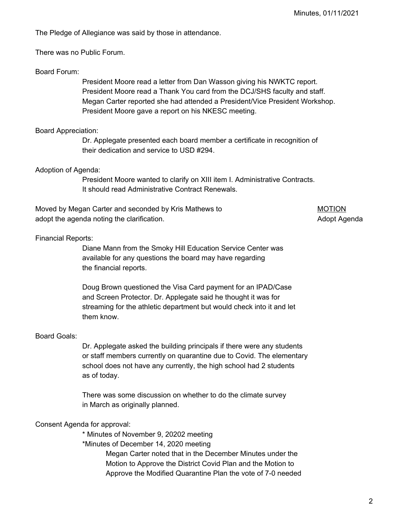The Pledge of Allegiance was said by those in attendance.

There was no Public Forum.

### Board Forum:

President Moore read a letter from Dan Wasson giving his NWKTC report. President Moore read a Thank You card from the DCJ/SHS faculty and staff. Megan Carter reported she had attended a President/Vice President Workshop. President Moore gave a report on his NKESC meeting.

### Board Appreciation:

Dr. Applegate presented each board member a certificate in recognition of their dedication and service to USD #294.

#### Adoption of Agenda:

President Moore wanted to clarify on XIII item I. Administrative Contracts. It should read Administrative Contract Renewals.

Moved by Megan Carter and seconded by Kris Mathews to MOTION adopt the agenda noting the clarification. Adopt Agenda is a strategies of the agent and adopt Agenda

#### Financial Reports:

Diane Mann from the Smoky Hill Education Service Center was available for any questions the board may have regarding the financial reports.

Doug Brown questioned the Visa Card payment for an IPAD/Case and Screen Protector. Dr. Applegate said he thought it was for streaming for the athletic department but would check into it and let them know.

#### Board Goals:

Dr. Applegate asked the building principals if there were any students or staff members currently on quarantine due to Covid. The elementary school does not have any currently, the high school had 2 students as of today.

There was some discussion on whether to do the climate survey in March as originally planned.

#### Consent Agenda for approval:

\* Minutes of November 9, 20202 meeting

\*Minutes of December 14, 2020 meeting

Megan Carter noted that in the December Minutes under the Motion to Approve the District Covid Plan and the Motion to Approve the Modified Quarantine Plan the vote of 7-0 needed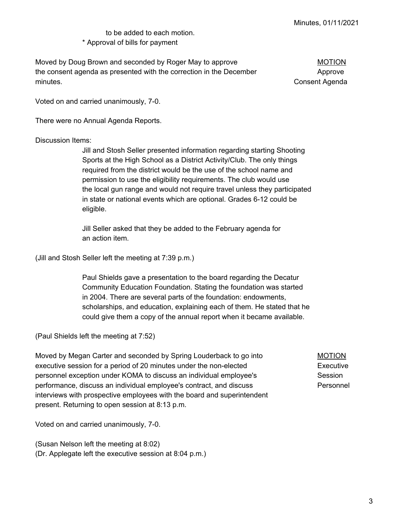# to be added to each motion. \* Approval of bills for payment

Moved by Doug Brown and seconded by Roger May to approve MOTION the consent agenda as presented with the correction in the December **Approve** minutes. Consent Agenda

Voted on and carried unanimously, 7-0.

There were no Annual Agenda Reports.

#### Discussion Items:

Jill and Stosh Seller presented information regarding starting Shooting Sports at the High School as a District Activity/Club. The only things required from the district would be the use of the school name and permission to use the eligibility requirements. The club would use the local gun range and would not require travel unless they participated in state or national events which are optional. Grades 6-12 could be eligible.

Jill Seller asked that they be added to the February agenda for an action item.

(Jill and Stosh Seller left the meeting at 7:39 p.m.)

Paul Shields gave a presentation to the board regarding the Decatur Community Education Foundation. Stating the foundation was started in 2004. There are several parts of the foundation: endowments, scholarships, and education, explaining each of them. He stated that he could give them a copy of the annual report when it became available.

(Paul Shields left the meeting at 7:52)

Moved by Megan Carter and seconded by Spring Louderback to go into MOTION executive session for a period of 20 minutes under the non-elected Executive personnel exception under KOMA to discuss an individual employee's Session performance, discuss an individual employee's contract, and discuss Personnel interviews with prospective employees with the board and superintendent present. Returning to open session at 8:13 p.m.

Voted on and carried unanimously, 7-0.

(Susan Nelson left the meeting at 8:02) (Dr. Applegate left the executive session at 8:04 p.m.)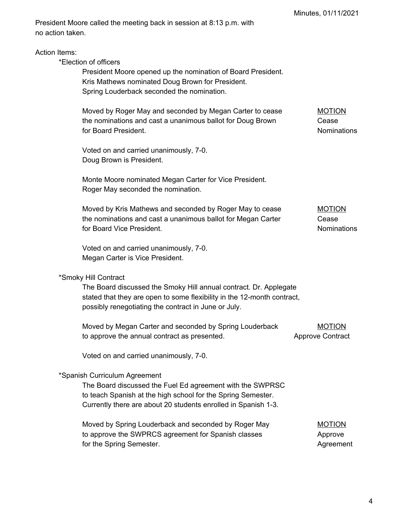President Moore called the meeting back in session at 8:13 p.m. with no action taken.

\*Election of officers

President Moore opened up the nomination of Board President. Kris Mathews nominated Doug Brown for President. Spring Louderback seconded the nomination.

Moved by Roger May and seconded by Megan Carter to cease MOTION the nominations and cast a unanimous ballot for Doug Brown Cease for Board President. The state of the state of the state of the South American School and The South American School and The South American School and The South American School and The South American School and The South Am

Voted on and carried unanimously, 7-0. Doug Brown is President.

Monte Moore nominated Megan Carter for Vice President. Roger May seconded the nomination.

Moved by Kris Mathews and seconded by Roger May to cease MOTION the nominations and cast a unanimous ballot for Megan Carter Cease for Board Vice President. The state of the state of the state of the Nominations of the Second Vice President.

Voted on and carried unanimously, 7-0. Megan Carter is Vice President.

#### \*Smoky Hill Contract

The Board discussed the Smoky Hill annual contract. Dr. Applegate stated that they are open to some flexibility in the 12-month contract, possibly renegotiating the contract in June or July.

| Moved by Megan Carter and seconded by Spring Louderback | <b>MOTION</b>           |
|---------------------------------------------------------|-------------------------|
| to approve the annual contract as presented.            | <b>Approve Contract</b> |

Voted on and carried unanimously, 7-0.

#### \*Spanish Curriculum Agreement

The Board discussed the Fuel Ed agreement with the SWPRSC to teach Spanish at the high school for the Spring Semester. Currently there are about 20 students enrolled in Spanish 1-3.

| Moved by Spring Louderback and seconded by Roger May | <b>MOTION</b> |
|------------------------------------------------------|---------------|
| to approve the SWPRCS agreement for Spanish classes  | Approve       |
| for the Spring Semester.                             | Agreement     |

4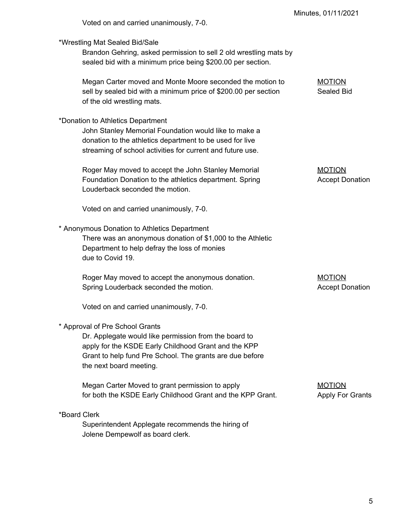|                                                                                                                                                                                                                                         | Minutes, 01/11/2021                      |
|-----------------------------------------------------------------------------------------------------------------------------------------------------------------------------------------------------------------------------------------|------------------------------------------|
| Voted on and carried unanimously, 7-0.                                                                                                                                                                                                  |                                          |
| *Wrestling Mat Sealed Bid/Sale<br>Brandon Gehring, asked permission to sell 2 old wrestling mats by<br>sealed bid with a minimum price being \$200.00 per section.                                                                      |                                          |
| Megan Carter moved and Monte Moore seconded the motion to<br>sell by sealed bid with a minimum price of \$200.00 per section<br>of the old wrestling mats.                                                                              | <b>MOTION</b><br>Sealed Bid              |
| *Donation to Athletics Department<br>John Stanley Memorial Foundation would like to make a<br>donation to the athletics department to be used for live<br>streaming of school activities for current and future use.                    |                                          |
| Roger May moved to accept the John Stanley Memorial<br>Foundation Donation to the athletics department. Spring<br>Louderback seconded the motion.                                                                                       | <b>MOTION</b><br><b>Accept Donation</b>  |
| Voted on and carried unanimously, 7-0.                                                                                                                                                                                                  |                                          |
| * Anonymous Donation to Athletics Department<br>There was an anonymous donation of \$1,000 to the Athletic<br>Department to help defray the loss of monies<br>due to Covid 19.                                                          |                                          |
| Roger May moved to accept the anonymous donation.<br>Spring Louderback seconded the motion.                                                                                                                                             | <b>MOTION</b><br><b>Accept Donation</b>  |
| Voted on and carried unanimously, 7-0.                                                                                                                                                                                                  |                                          |
| * Approval of Pre School Grants<br>Dr. Applegate would like permission from the board to<br>apply for the KSDE Early Childhood Grant and the KPP<br>Grant to help fund Pre School. The grants are due before<br>the next board meeting. |                                          |
| Megan Carter Moved to grant permission to apply<br>for both the KSDE Early Childhood Grant and the KPP Grant.                                                                                                                           | <b>MOTION</b><br><b>Apply For Grants</b> |
| *Board Clerk<br>Superintendent Applegate recommends the hiring of<br>Jolene Dempewolf as board clerk.                                                                                                                                   |                                          |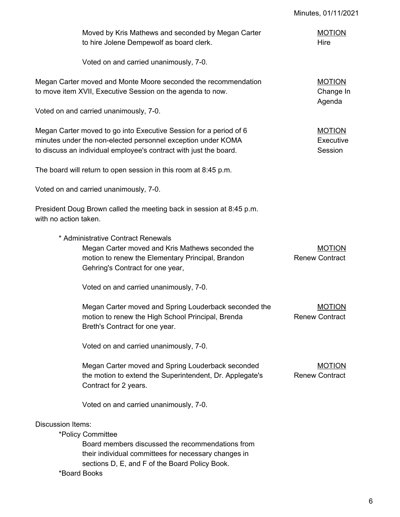|                          | Moved by Kris Mathews and seconded by Megan Carter<br>to hire Jolene Dempewolf as board clerk.                                                                                                         | <b>MOTION</b><br>Hire                  |
|--------------------------|--------------------------------------------------------------------------------------------------------------------------------------------------------------------------------------------------------|----------------------------------------|
|                          | Voted on and carried unanimously, 7-0.                                                                                                                                                                 |                                        |
|                          | Megan Carter moved and Monte Moore seconded the recommendation<br>to move item XVII, Executive Session on the agenda to now.                                                                           | <b>MOTION</b><br>Change In<br>Agenda   |
|                          | Voted on and carried unanimously, 7-0.                                                                                                                                                                 |                                        |
|                          | Megan Carter moved to go into Executive Session for a period of 6<br>minutes under the non-elected personnel exception under KOMA<br>to discuss an individual employee's contract with just the board. | <b>MOTION</b><br>Executive<br>Session  |
|                          | The board will return to open session in this room at 8:45 p.m.                                                                                                                                        |                                        |
|                          | Voted on and carried unanimously, 7-0.                                                                                                                                                                 |                                        |
| with no action taken.    | President Doug Brown called the meeting back in session at 8:45 p.m.                                                                                                                                   |                                        |
|                          | * Administrative Contract Renewals<br>Megan Carter moved and Kris Mathews seconded the<br>motion to renew the Elementary Principal, Brandon<br>Gehring's Contract for one year,                        | <b>MOTION</b><br><b>Renew Contract</b> |
|                          | Voted on and carried unanimously, 7-0.                                                                                                                                                                 |                                        |
|                          | Megan Carter moved and Spring Louderback seconded the<br>motion to renew the High School Principal, Brenda<br>Breth's Contract for one year.                                                           | <b>MOTION</b><br><b>Renew Contract</b> |
|                          | Voted on and carried unanimously, 7-0.                                                                                                                                                                 |                                        |
|                          | Megan Carter moved and Spring Louderback seconded<br>the motion to extend the Superintendent, Dr. Applegate's<br>Contract for 2 years.                                                                 | <b>MOTION</b><br><b>Renew Contract</b> |
|                          | Voted on and carried unanimously, 7-0.                                                                                                                                                                 |                                        |
| <b>Discussion Items:</b> | *Policy Committee<br>Board members discussed the recommendations from<br>their individual committees for necessary changes in<br>sections D, E, and F of the Board Policy Book.                        |                                        |
|                          | *Board Books                                                                                                                                                                                           |                                        |

Minutes, 01/11/2021